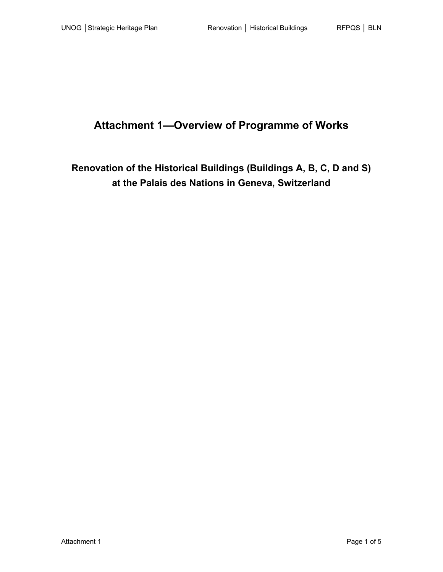# **Attachment 1—Overview of Programme of Works**

## **Renovation of the Historical Buildings (Buildings A, B, C, D and S) at the Palais des Nations in Geneva, Switzerland**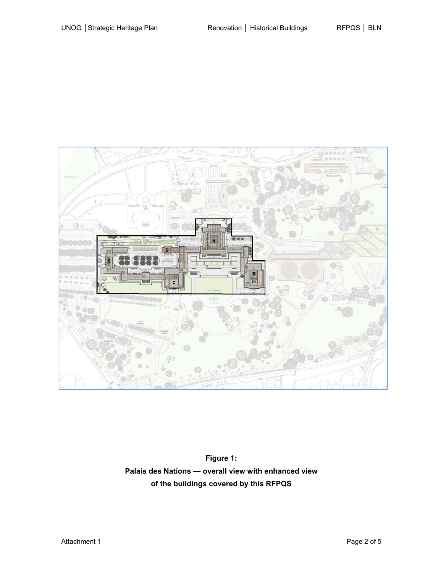

**Figure 1: Palais des Nations — overall view with enhanced view of the buildings covered by this RFPQS**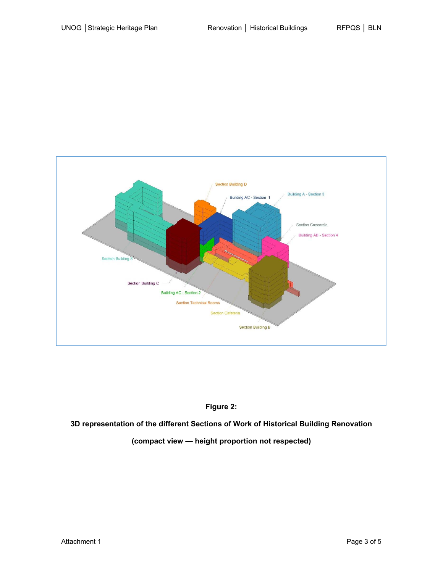

### **Figure 2:**

**3D representation of the different Sections of Work of Historical Building Renovation** 

#### **(compact view — height proportion not respected)**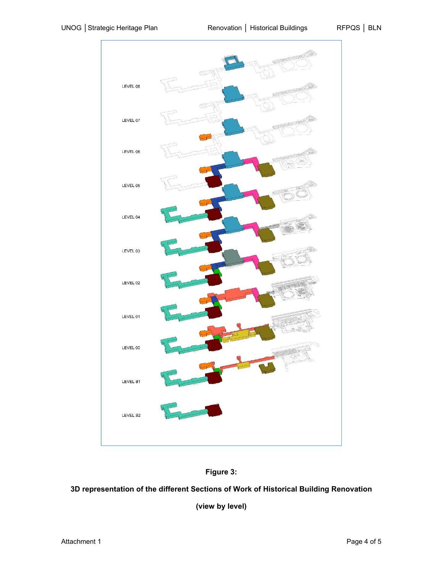

![](_page_3_Figure_4.jpeg)

### **3D representation of the different Sections of Work of Historical Building Renovation**

**(view by level)**